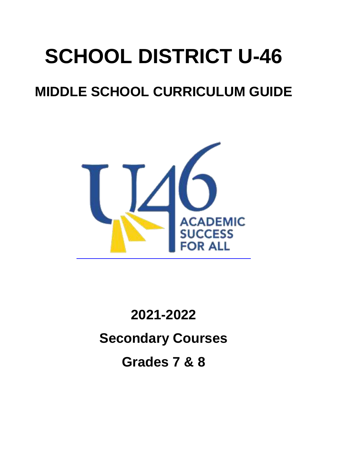# **SCHOOL DISTRICT U-46**

## **MIDDLE SCHOOL CURRICULUM GUIDE**



**2021-2022 Secondary Courses Grades 7 & 8**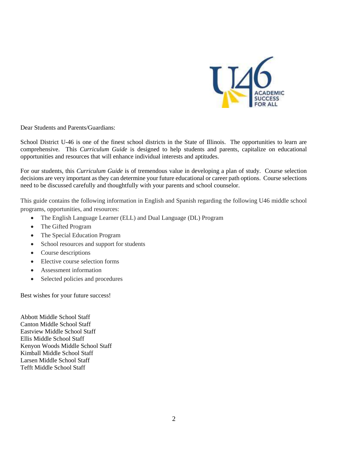

Dear Students and Parents/Guardians:

School District U-46 is one of the finest school districts in the State of Illinois. The opportunities to learn are comprehensive. This *Curriculum Guide* is designed to help students and parents, capitalize on educational opportunities and resources that will enhance individual interests and aptitudes.

For our students, this *Curriculum Guide* is of tremendous value in developing a plan of study. Course selection decisions are very important as they can determine your future educational or career path options. Course selections need to be discussed carefully and thoughtfully with your parents and school counselor.

This guide contains the following information in English and Spanish regarding the following U46 middle school programs, opportunities, and resources:

- The English Language Learner (ELL) and Dual Language (DL) Program
- The Gifted Program
- The Special Education Program
- School resources and support for students
- Course descriptions
- Elective course selection forms
- Assessment information
- Selected policies and procedures

Best wishes for your future success!

Abbott Middle School Staff Canton Middle School Staff Eastview Middle School Staff Ellis Middle School Staff Kenyon Woods Middle School Staff Kimball Middle School Staff Larsen Middle School Staff Tefft Middle School Staff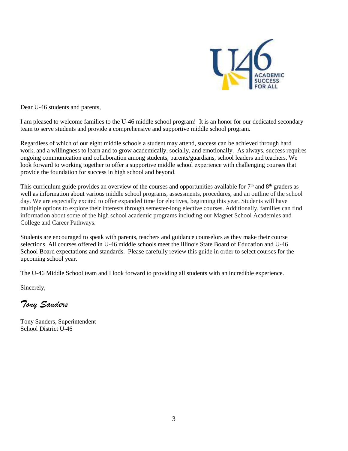

Dear U-46 students and parents,

I am pleased to welcome families to the U-46 middle school program! It is an honor for our dedicated secondary team to serve students and provide a comprehensive and supportive middle school program.

Regardless of which of our eight middle schools a student may attend, success can be achieved through hard work, and a willingness to learn and to grow academically, socially, and emotionally. As always, success requires ongoing communication and collaboration among students, parents/guardians, school leaders and teachers. We look forward to working together to offer a supportive middle school experience with challenging courses that provide the foundation for success in high school and beyond.

This curriculum guide provides an overview of the courses and opportunities available for  $7<sup>th</sup>$  and  $8<sup>th</sup>$  graders as well as information about various middle school programs, assessments, procedures, and an outline of the school day. We are especially excited to offer expanded time for electives, beginning this year. Students will have multiple options to explore their interests through semester-long elective courses. Additionally, families can find information about some of the high school academic programs including our Magnet School Academies and College and Career Pathways.

Students are encouraged to speak with parents, teachers and guidance counselors as they make their course selections. All courses offered in U-46 middle schools meet the Illinois State Board of Education and U-46 School Board expectations and standards. Please carefully review this guide in order to select courses for the upcoming school year.

The U-46 Middle School team and I look forward to providing all students with an incredible experience.

Sincerely,

*Tony Sanders*

Tony Sanders, Superintendent School District U-46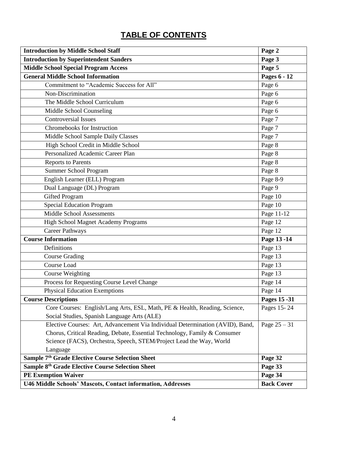### **TABLE OF CONTENTS**

| <b>Introduction by Middle School Staff</b>                                    | Page 2            |
|-------------------------------------------------------------------------------|-------------------|
| <b>Introduction by Superintendent Sanders</b>                                 | Page 3            |
| <b>Middle School Special Program Access</b>                                   | Page 5            |
| <b>General Middle School Information</b>                                      | Pages 6 - 12      |
| Commitment to "Academic Success for All"                                      | Page 6            |
| Non-Discrimination                                                            | Page 6            |
| The Middle School Curriculum                                                  | Page 6            |
| Middle School Counseling                                                      | Page 6            |
| <b>Controversial Issues</b>                                                   | Page 7            |
| Chromebooks for Instruction                                                   | Page 7            |
| Middle School Sample Daily Classes                                            | Page 7            |
| High School Credit in Middle School                                           | Page 8            |
| Personalized Academic Career Plan                                             | Page 8            |
| <b>Reports to Parents</b>                                                     | Page 8            |
| Summer School Program                                                         | Page 8            |
| English Learner (ELL) Program                                                 | Page 8-9          |
| Dual Language (DL) Program                                                    | Page 9            |
| <b>Gifted Program</b>                                                         | Page 10           |
| Special Education Program                                                     | Page 10           |
| <b>Middle School Assessments</b>                                              | Page 11-12        |
| <b>High School Magnet Academy Programs</b>                                    | Page 12           |
| <b>Career Pathways</b>                                                        | Page 12           |
| <b>Course Information</b>                                                     | Page 13 - 14      |
| Definitions                                                                   | Page 13           |
| <b>Course Grading</b>                                                         | Page 13           |
| <b>Course Load</b>                                                            | Page 13           |
| <b>Course Weighting</b>                                                       | Page 13           |
| Process for Requesting Course Level Change                                    | Page 14           |
| <b>Physical Education Exemptions</b>                                          | Page 14           |
| <b>Course Descriptions</b>                                                    | Pages 15 - 31     |
| Core Courses: English/Lang Arts, ESL, Math, PE & Health, Reading, Science,    | Pages 15-24       |
| Social Studies, Spanish Language Arts (ALE)                                   |                   |
| Elective Courses: Art, Advancement Via Individual Determination (AVID), Band, | Page $25 - 31$    |
| Chorus, Critical Reading, Debate, Essential Technology, Family & Consumer     |                   |
| Science (FACS), Orchestra, Speech, STEM/Project Lead the Way, World           |                   |
| Language                                                                      |                   |
| Sample 7 <sup>th</sup> Grade Elective Course Selection Sheet                  | Page 32           |
| Sample 8 <sup>th</sup> Grade Elective Course Selection Sheet                  | Page 33           |
| <b>PE Exemption Waiver</b>                                                    | Page 34           |
| U46 Middle Schools' Mascots, Contact information, Addresses                   | <b>Back Cover</b> |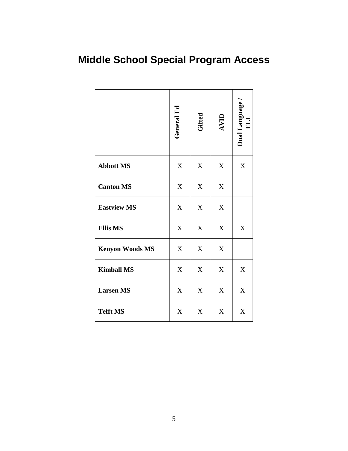## **Middle School Special Program Access**

|                        | General Ed                | Gifted                    | AVID             | Dual Language<br>囙 |
|------------------------|---------------------------|---------------------------|------------------|--------------------|
| <b>Abbott MS</b>       | X                         | $\mathbf X$               | X                | $\mathbf X$        |
| <b>Canton MS</b>       | $\mathbf X$               | $\mathbf X$               | $\mathbf X$      |                    |
| <b>Eastview MS</b>     | $\boldsymbol{X}$          | X                         | $\mathbf X$      |                    |
| <b>Ellis MS</b>        | X                         | $\boldsymbol{X}$          | $\boldsymbol{X}$ | X                  |
| <b>Kenyon Woods MS</b> | $\mathbf X$               | $\boldsymbol{\mathrm{X}}$ | $\boldsymbol{X}$ |                    |
| <b>Kimball MS</b>      | $\boldsymbol{X}$          | $\mathbf X$               | $\mathbf X$      | X                  |
| <b>Larsen MS</b>       | $\boldsymbol{\mathrm{X}}$ | $\boldsymbol{\mathrm{X}}$ | $\boldsymbol{X}$ | $\boldsymbol{X}$   |
| <b>Tefft MS</b>        | X                         | $\mathbf X$               | X                | X                  |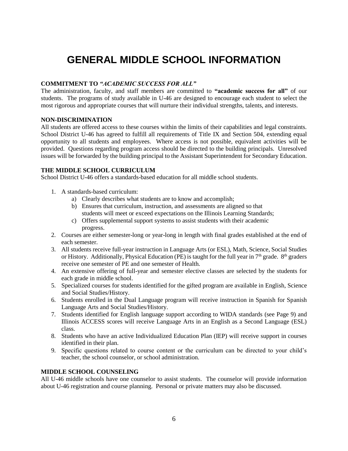### **GENERAL MIDDLE SCHOOL INFORMATION**

#### **COMMITMENT TO** *"ACADEMIC SUCCESS FOR ALL"*

The administration, faculty, and staff members are committed to **"academic success for all"** of our students. The programs of study available in U-46 are designed to encourage each student to select the most rigorous and appropriate courses that will nurture their individual strengths, talents, and interests.

#### **NON-DISCRIMINATION**

All students are offered access to these courses within the limits of their capabilities and legal constraints. School District U-46 has agreed to fulfill all requirements of Title IX and Section 504, extending equal opportunity to all students and employees. Where access is not possible, equivalent activities will be provided. Questions regarding program access should be directed to the building principals. Unresolved issues will be forwarded by the building principal to the Assistant Superintendent for Secondary Education.

#### **THE MIDDLE SCHOOL CURRICULUM**

School District U-46 offers a standards-based education for all middle school students.

- 1. A standards-based curriculum:
	- a) Clearly describes what students are to know and accomplish;
	- b) Ensures that curriculum, instruction, and assessments are aligned so that students will meet or exceed expectations on the Illinois Learning Standards;
	- c) Offers supplemental support systems to assist students with their academic progress.
- 2. Courses are either semester-long or year-long in length with final grades established at the end of each semester.
- 3. All students receive full-year instruction in Language Arts (or ESL), Math, Science, Social Studies or History. Additionally, Physical Education (PE) is taught for the full year in  $7<sup>th</sup>$  grade.  $8<sup>th</sup>$  graders receive one semester of PE and one semester of Health.
- 4. An extensive offering of full-year and semester elective classes are selected by the students for each grade in middle school.
- 5. Specialized courses for students identified for the gifted program are available in English, Science and Social Studies/History.
- 6. Students enrolled in the Dual Language program will receive instruction in Spanish for Spanish Language Arts and Social Studies/History.
- 7. Students identified for English language support according to WIDA standards (see Page 9) and Illinois ACCESS scores will receive Language Arts in an English as a Second Language (ESL) class.
- 8. Students who have an active Individualized Education Plan (IEP) will receive support in courses identified in their plan.
- 9. Specific questions related to course content or the curriculum can be directed to your child's teacher, the school counselor, or school administration.

#### **MIDDLE SCHOOL COUNSELING**

All U-46 middle schools have one counselor to assist students. The counselor will provide information about U-46 registration and course planning. Personal or private matters may also be discussed.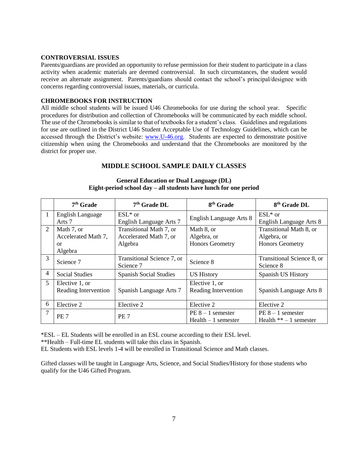#### **CONTROVERSIAL ISSUES**

Parents/guardians are provided an opportunity to refuse permission for their student to participate in a class activity when academic materials are deemed controversial. In such circumstances, the student would receive an alternate assignment. Parents/guardians should contact the school's principal/designee with concerns regarding controversial issues, materials, or curricula.

#### **CHROMEBOOKS FOR INSTRUCTION**

All middle school students will be issued U46 Chromebooks for use during the school year. Specific procedures for distribution and collection of Chromebooks will be communicated by each middle school. The use of the Chromebooks is similar to that of textbooks for a student's class. Guidelines and regulations for use are outlined in the District U46 Student Acceptable Use of Technology Guidelines, which can be accessed through the District's website: [www.U-46.org.](http://www.u-46.org/) Students are expected to demonstrate positive citizenship when using the Chromebooks and understand that the Chromebooks are monitored by the district for proper use.

#### **MIDDLE SCHOOL SAMPLE DAILY CLASSES**

|                | 7 <sup>th</sup> Grade | $7th$ Grade DL                | 8 <sup>th</sup> Grade   | 8 <sup>th</sup> Grade DL   |
|----------------|-----------------------|-------------------------------|-------------------------|----------------------------|
|                | English Language      | $ESL*$ or                     | English Language Arts 8 | $ESL*$ or                  |
|                | Arts 7                | English Language Arts 7       |                         | English Language Arts 8    |
| $\overline{2}$ | Math 7, or            | Transitional Math 7, or       | Math 8, or              | Transitional Math 8, or    |
|                | Accelerated Math 7,   | Accelerated Math 7, or        | Algebra, or             | Algebra, or                |
|                | or                    | Algebra                       | <b>Honors Geometry</b>  | <b>Honors Geometry</b>     |
|                | Algebra               |                               |                         |                            |
| 3              | Science 7             | Transitional Science 7, or    | Science 8               | Transitional Science 8, or |
|                |                       | Science 7                     |                         | Science 8                  |
| $\overline{4}$ | <b>Social Studies</b> | <b>Spanish Social Studies</b> | <b>US History</b>       | Spanish US History         |
| $5^{\circ}$    | Elective 1, or        |                               | Elective 1, or          |                            |
|                | Reading Intervention  | Spanish Language Arts 7       | Reading Intervention    | Spanish Language Arts 8    |
| 6              | Elective 2            | Elective 2                    | Elective 2              | Elective 2                 |
| 7              | PE <sub>7</sub>       | PE <sub>7</sub>               | $PE 8 - 1$ semester     | $PE 8 - 1$ semester        |
|                |                       |                               | $Health - 1$ semester   | Health $**-1$ semester     |

#### **General Education or Dual Language (DL) Eight-period school day – all students have lunch for one period**

\*ESL – EL Students will be enrolled in an ESL course according to their ESL level.

\*\*Health – Full-time EL students will take this class in Spanish.

EL Students with ESL levels 1-4 will be enrolled in Transitional Science and Math classes.

Gifted classes will be taught in Language Arts, Science, and Social Studies/History for those students who qualify for the U46 Gifted Program.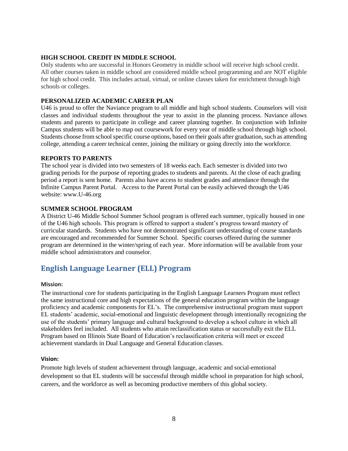#### **HIGH SCHOOL CREDIT IN MIDDLE SCHOOL**

Only students who are successful in Honors Geometry in middle school will receive high school credit. All other courses taken in middle school are considered middle school programming and are NOT eligible for high school credit. This includes actual, virtual, or online classes taken for enrichment through high schools or colleges.

#### **PERSONALIZED ACADEMIC CAREER PLAN**

U46 is proud to offer the Naviance program to all middle and high school students. Counselors will visit classes and individual students throughout the year to assist in the planning process. Naviance allows students and parents to participate in college and career planning together. In conjunction with Infinite Campus students will be able to map out coursework for every year of middle school through high school. Students choose from school specific course options, based on their goals after graduation, such as attending college, attending a career technical center, joining the military or going directly into the workforce.

#### **REPORTS TO PARENTS**

The school year is divided into two semesters of 18 weeks each. Each semester is divided into two grading periods for the purpose of reporting grades to students and parents. At the close of each grading period a report is sent home. Parents also have access to student grades and attendance through the Infinite Campus Parent Portal. Access to the Parent Portal can be easily achieved through the U46 website: www.U-46.org

#### **SUMMER SCHOOL PROGRAM**

A District U-46 Middle School Summer School program is offered each summer, typically housed in one of the U46 high schools. This program is offered to support a student's progress toward mastery of curricular standards. Students who have not demonstrated significant understanding of course standards are encouraged and recommended for Summer School. Specific courses offered during the summer program are determined in the winter/spring of each year. More information will be available from your middle school administrators and counselor.

#### **English Language Learner (ELL) Program**

#### **Mission:**

The instructional core for students participating in the English Language Learners Program must reflect the same instructional core and high expectations of the general education program within the language proficiency and academic components for EL's. The comprehensive instructional program must support EL students' academic, social-emotional and linguistic development through intentionally recognizing the use of the students' primary language and cultural background to develop a school culture in which all stakeholders feel included. All students who attain reclassification status or successfully exit the ELL Program based on Illinois State Board of Education's reclassification criteria will meet or exceed achievement standards in Dual Language and General Education classes.

#### **Vision:**

Promote high levels of student achievement through language, academic and social-emotional development so that EL students will be successful through middle school in preparation for high school, careers, and the workforce as well as becoming productive members of this global society.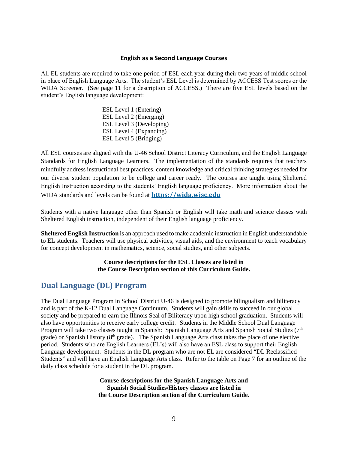#### **English as a Second Language Courses**

All EL students are required to take one period of ESL each year during their two years of middle school in place of English Language Arts. The student's ESL Level is determined by ACCESS Test scores or the WIDA Screener. (See page 11 for a description of ACCESS.) There are five ESL levels based on the student's English language development:

> ESL Level 1 (Entering) ESL Level 2 (Emerging) ESL Level 3 (Developing) ESL Level 4 (Expanding) ESL Level 5 (Bridging)

All ESL courses are aligned with the U-46 School District Literacy Curriculum, and the English Language Standards for English Language Learners. The implementation of the standards requires that teachers mindfully address instructional best practices, content knowledge and critical thinking strategies needed for our diverse student population to be college and career ready. The courses are taught using Sheltered English Instruction according to the students' English language proficiency. More information about the WIDA standards and levels can be found at **[https://wida.wisc.edu](https://wida.wisc.edu/)**

Students with a native language other than Spanish or English will take math and science classes with Sheltered English instruction, independent of their English language proficiency.

**Sheltered English Instruction** is an approach used to make academic instruction in English understandable to EL students. Teachers will use physical activities, visual aids, and the environment to teach vocabulary for concept development in mathematics, science, social studies, and other subjects.

#### **Course descriptions for the ESL Classes are listed in the Course Description section of this Curriculum Guide.**

#### **Dual Language (DL) Program**

The Dual Language Program in School District U-46 is designed to promote bilingualism and biliteracy and is part of the K-12 Dual Language Continuum. Students will gain skills to succeed in our global society and be prepared to earn the Illinois Seal of Biliteracy upon high school graduation. Students will also have opportunities to receive early college credit. Students in the Middle School Dual Language Program will take two classes taught in Spanish: Spanish Language Arts and Spanish Social Studies  $(7<sup>th</sup>)$ grade) or Spanish History (8<sup>th</sup> grade). The Spanish Language Arts class takes the place of one elective period. Students who are English Learners (EL's) will also have an ESL class to support their English Language development. Students in the DL program who are not EL are considered "DL Reclassified Students" and will have an English Language Arts class. Refer to the table on Page 7 for an outline of the daily class schedule for a student in the DL program.

> **Course descriptions for the Spanish Language Arts and Spanish Social Studies/History classes are listed in the Course Description section of the Curriculum Guide.**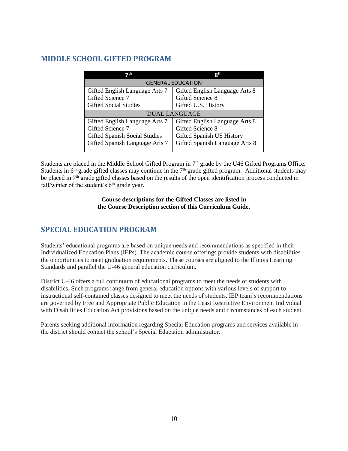#### **MIDDLE SCHOOL GIFTED PROGRAM**

| っth                            | <b>Gill</b>                    |
|--------------------------------|--------------------------------|
|                                | <b>GENERAL EDUCATION</b>       |
| Gifted English Language Arts 7 | Gifted English Language Arts 8 |
| Gifted Science 7               | Gifted Science 8               |
| <b>Gifted Social Studies</b>   | Gifted U.S. History            |
|                                | <b>DUAL LANGUAGE</b>           |
| Gifted English Language Arts 7 | Gifted English Language Arts 8 |
| Gifted Science 7               | Gifted Science 8               |
| Gifted Spanish Social Studies  | Gifted Spanish US History      |
| Gifted Spanish Language Arts 7 | Gifted Spanish Language Arts 8 |

Students are placed in the Middle School Gifted Program in 7<sup>th</sup> grade by the U46 Gifted Programs Office. Students in  $6<sup>th</sup>$  grade gifted classes may continue in the 7<sup>th</sup> grade gifted program. Additional students may be placed in 7<sup>th</sup> grade gifted classes based on the results of the open identification process conducted in fall/winter of the student's  $6<sup>th</sup>$  grade year.

#### **Course descriptions for the Gifted Classes are listed in the Course Description section of this Curriculum Guide.**

#### **SPECIAL EDUCATION PROGRAM**

Students' educational programs are based on unique needs and recommendations as specified in their Individualized Education Plans (IEPs). The academic course offerings provide students with disabilities the opportunities to meet graduation requirements. These courses are aligned to the Illinois Learning Standards and parallel the U-46 general education curriculum.

District U-46 offers a full continuum of educational programs to meet the needs of students with disabilities. Such programs range from general education options with various levels of support to instructional self-contained classes designed to meet the needs of students. IEP team's recommendations are governed by Free and Appropriate Public Education in the Least Restrictive Environment Individual with Disabilities Education Act provisions based on the unique needs and circumstances of each student.

Parents seeking additional information regarding Special Education programs and services available in the district should contact the school's Special Education administrator.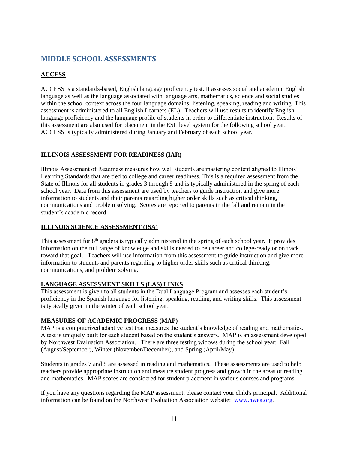#### **MIDDLE SCHOOL ASSESSMENTS**

#### **ACCESS**

[ACCESS](https://www.wida.us/assessment/access20.aspx) is a standards-based, English language proficiency test. It assesses social and academic English language as well as the language associated with language arts, mathematics, science and social studies within the school context across the four language domains: listening, speaking, reading and writing. This assessment is administered to all English Learners (EL). Teachers will use results to identify English language proficiency and the language profile of students in order to differentiate instruction. Results of this assessment are also used for placement in the ESL level system for the following school year. ACCESS is typically administered during January and February of each school year.

#### **ILLINOIS ASSESSMENT FOR READINESS (IAR)**

Illinois Assessment of Readiness measures how well students are mastering content aligned to Illinois' Learning Standards that are tied to college and career readiness. This is a required assessment from the State of Illinois for all students in grades 3 through 8 and is typically administered in the spring of each school year. Data from this assessment are used by teachers to guide instruction and give more information to students and their parents regarding higher order skills such as critical thinking, communications and problem solving. Scores are reported to parents in the fall and remain in the student's academic record.

#### **ILLINOIS SCIENCE ASSESSMENT (ISA)**

This assessment for 8<sup>th</sup> graders is typically administered in the spring of each school year. It provides information on the full range of knowledge and skills needed to be career and college-ready or on track toward that goal. Teachers will use information from this assessment to guide instruction and give more information to students and parents regarding to higher order skills such as critical thinking, communications, and problem solving.

#### **LANGUAGE ASSESSMENT SKILLS (LAS) LINKS**

This assessment is given to all students in the Dual Language Program and assesses each student's proficiency in the Spanish language for listening, speaking, reading, and writing skills. This assessment is typically given in the winter of each school year.

#### **MEASURES OF ACADEMIC PROGRESS (MAP)**

MAP is a computerized adaptive test that measures the student's knowledge of reading and mathematics. A test is uniquely built for each student based on the student's answers. MAP is an assessment developed by Northwest Evaluation Association. There are three testing widows during the school year: Fall (August/September), Winter (November/December), and Spring (April/May).

Students in grades 7 and 8 are assessed in reading and mathematics. These assessments are used to help teachers provide appropriate instruction and measure student progress and growth in the areas of reading and mathematics. MAP scores are considered for student placement in various courses and programs.

If you have any questions regarding the MAP assessment, please contact your child's principal. Additional information can be found on the Northwest Evaluation Association website: [www.nwea.org.](http://www.nwea.org/)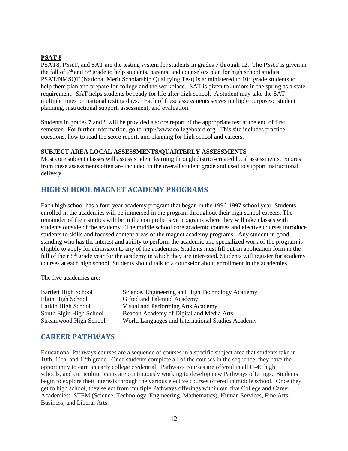#### **PSAT 8**

PSAT8, PSAT, and SAT are the testing system for students in grades 7 through 12. The PSAT is given in the fall of  $7<sup>th</sup>$  and  $8<sup>th</sup>$  grade to help students, parents, and counselors plan for high school studies. PSAT/NMSQT (National Merit Scholarship Qualifying Test) is administered to  $10<sup>th</sup>$  grade students to help them plan and prepare for college and the workplace. SAT is given to Juniors in the spring as a state requirement. SAT helps students be ready for life after high school. A student may take the SAT multiple times on national testing days. Each of these assessments serves multiple purposes: student planning, instructional support, assessment, and evaluation.

Students in grades 7 and 8 will be provided a score report of the appropriate test at the end of first semester. For further information, go to http://www.collegeboard.org. This site includes practice questions, how to read the score report, and planning for high school and careers.

#### **SUBJECT AREA LOCAL ASSESSMENTS/QUARTERLY ASSESSMENTS**

Most core subject classes will assess student learning through district-created local assessments. Scores from these assessments often are included in the overall student grade and used to support instructional delivery.

#### **HIGH SCHOOL MAGNET ACADEMY PROGRAMS**

Each high school has a four-year academy program that began in the 1996-1997 school year. Students enrolled in the academies will be immersed in the program throughout their high school careers. The remainder of their studies will be in the comprehensive programs where they will take classes with students outside of the academy. The middle school core academic courses and elective courses introduce students to skills and focused content areas of the magnet academy programs. Any student in good standing who has the interest and ability to perform the academic and specialized work of the program is eligible to apply for admission to any of the academies. Students must fill out an application form in the fall of their  $8<sup>th</sup>$  grade year for the academy in which they are interested. Students will register for academy courses at each high school. Students should talk to a counselor about enrollment in the academies.

The five academies are:

Bartlett High School Science, Engineering and High Technology Academy Elgin High School Gifted and Talented Academy Larkin High School Visual and Performing Arts Academy South Elgin High School Beacon Academy of Digital and Media Arts Streamwood High School World Languages and International Studies Academy

#### **CAREER PATHWAYS**

Educational Pathways courses are a sequence of courses in a specific subject area that students take in 10th, 11th, and 12th grade. Once students complete all of the courses in the sequence, they have the opportunity to earn an early college credential. Pathways courses are offered in all U-46 high schools, and curriculum teams are continuously working to develop new Pathways offerings. Students begin to explore their interests through the various elective courses offered in middle school. Once they get to high school, they select from multiple Pathways offerings within our five College and Career Academies: STEM (Science, Technology, Engineering, Mathematics), Human Services, Fine Arts, Business, and Liberal Arts.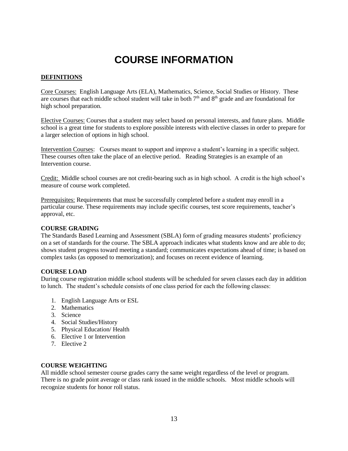### **COURSE INFORMATION**

#### **DEFINITIONS**

Core Courses: English Language Arts (ELA), Mathematics, Science, Social Studies or History. These are courses that each middle school student will take in both  $7<sup>th</sup>$  and  $8<sup>th</sup>$  grade and are foundational for high school preparation.

Elective Courses: Courses that a student may select based on personal interests, and future plans. Middle school is a great time for students to explore possible interests with elective classes in order to prepare for a larger selection of options in high school.

Intervention Courses: Courses meant to support and improve a student's learning in a specific subject. These courses often take the place of an elective period. Reading Strategies is an example of an Intervention course.

Credit: Middle school courses are not credit-bearing such as in high school. A credit is the high school's measure of course work completed.

Prerequisites: Requirements that must be successfully completed before a student may enroll in a particular course. These requirements may include specific courses, test score requirements, teacher's approval, etc.

#### **COURSE GRADING**

The Standards Based Learning and Assessment (SBLA) form of grading measures students' proficiency on a set of standards for the course. The SBLA approach indicates what students know and are able to do; shows student progress toward meeting a standard; communicates expectations ahead of time; is based on complex tasks (as opposed to memorization); and focuses on recent evidence of learning.

#### **COURSE LOAD**

During course registration middle school students will be scheduled for seven classes each day in addition to lunch. The student's schedule consists of one class period for each the following classes:

- 1. English Language Arts or ESL
- 2. Mathematics
- 3. Science
- 4. Social Studies/History
- 5. Physical Education/ Health
- 6. Elective 1 or Intervention
- 7. Elective 2

#### **COURSE WEIGHTING**

All middle school semester course grades carry the same weight regardless of the level or program. There is no grade point average or class rank issued in the middle schools. Most middle schools will recognize students for honor roll status.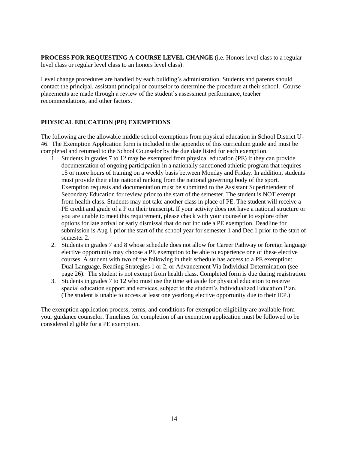**PROCESS FOR REQUESTING A COURSE LEVEL CHANGE** (i.e. Honors level class to a regular level class or regular level class to an honors level class):

Level change procedures are handled by each building's administration. Students and parents should contact the principal, assistant principal or counselor to determine the procedure at their school. Course placements are made through a review of the student's assessment performance, teacher recommendations, and other factors.

#### **PHYSICAL EDUCATION (PE) EXEMPTIONS**

The following are the allowable middle school exemptions from physical education in School District U-46. The Exemption Application form is included in the appendix of this curriculum guide and must be completed and returned to the School Counselor by the due date listed for each exemption.

- 1. Students in grades 7 to 12 may be exempted from physical education (PE) if they can provide documentation of ongoing participation in a nationally sanctioned athletic program that requires 15 or more hours of training on a weekly basis between Monday and Friday. In addition, students must provide their elite national ranking from the national governing body of the sport. Exemption requests and documentation must be submitted to the Assistant Superintendent of Secondary Education for review prior to the start of the semester. The student is NOT exempt from health class. Students may not take another class in place of PE. The student will receive a PE credit and grade of a P on their transcript. If your activity does not have a national structure or you are unable to meet this requirement, please check with your counselor to explore other options for late arrival or early dismissal that do not include a PE exemption. Deadline for submission is Aug 1 prior the start of the school year for semester 1 and Dec 1 prior to the start of semester 2.
- 2. Students in grades 7 and 8 whose schedule does not allow for Career Pathway or foreign language elective opportunity may choose a PE exemption to be able to experience one of these elective courses. A student with two of the following in their schedule has access to a PE exemption: Dual Language, Reading Strategies 1 or 2, or Advancement Via Individual Determination (see page 26). The student is not exempt from health class. Completed form is due during registration.
- 3. Students in grades 7 to 12 who must use the time set aside for physical education to receive special education support and services, subject to the student's Individualized Education Plan. (The student is unable to access at least one yearlong elective opportunity due to their IEP.)

The exemption application process, terms, and conditions for exemption eligibility are available from your guidance counselor. Timelines for completion of an exemption application must be followed to be considered eligible for a PE exemption.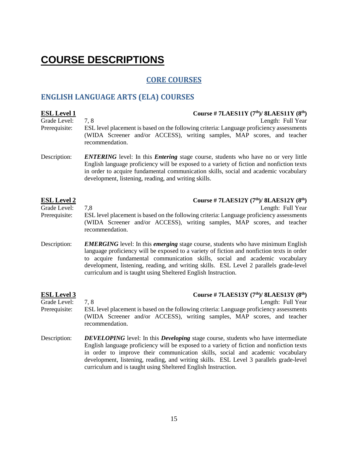## **COURSE DESCRIPTIONS**

### **CORE COURSES**

### **ENGLISH LANGUAGE ARTS (ELA) COURSES**

| <b>ESL Level 1</b><br>Grade Level:<br>Prerequisite: | Course # 7LAES11Y $(7th)/$ 8LAES11Y $(8th)$<br>7,8<br>Length: Full Year<br>ESL level placement is based on the following criteria: Language proficiency assessments<br>(WIDA Screener and/or ACCESS), writing samples, MAP scores, and teacher<br>recommendation.                                                                                                                                                                      |
|-----------------------------------------------------|----------------------------------------------------------------------------------------------------------------------------------------------------------------------------------------------------------------------------------------------------------------------------------------------------------------------------------------------------------------------------------------------------------------------------------------|
| Description:                                        | <b>ENTERING</b> level: In this <i>Entering</i> stage course, students who have no or very little<br>English language proficiency will be exposed to a variety of fiction and nonfiction texts<br>in order to acquire fundamental communication skills, social and academic vocabulary<br>development, listening, reading, and writing skills.                                                                                          |
| <b>ESL Level 2</b><br>Grade Level:<br>Prerequisite: | Course # 7LAES12Y $(7th)/$ 8LAES12Y $(8th)$<br>Length: Full Year<br>7,8<br>ESL level placement is based on the following criteria: Language proficiency assessments<br>(WIDA Screener and/or ACCESS), writing samples, MAP scores, and teacher<br>recommendation.                                                                                                                                                                      |
| Description:                                        | <b>EMERGING</b> level: In this <i>emerging</i> stage course, students who have minimum English<br>language proficiency will be exposed to a variety of fiction and nonfiction texts in order<br>to acquire fundamental communication skills, social and academic vocabulary<br>development, listening, reading, and writing skills. ESL Level 2 parallels grade-level<br>curriculum and is taught using Sheltered English Instruction. |
| <b>ESL Level 3</b><br>Grade Level:<br>Prerequisite: | Course #7LAES13Y $(7th)/8LAES13Y (8th)$<br>7.8<br>Length: Full Year<br>ESL level placement is based on the following criteria: Language proficiency assessments<br>(WIDA Screener and/or ACCESS), writing samples, MAP scores, and teacher<br>recommendation.                                                                                                                                                                          |
| Description:                                        | <b>DEVELOPING</b> level: In this <b>Developing</b> stage course, students who have intermediate<br>English language proficiency will be exposed to a variety of fiction and nonfiction texts<br>in order to improve their communication skills, social and academic vocabulary                                                                                                                                                         |

curriculum and is taught using Sheltered English Instruction.

development, listening, reading, and writing skills. ESL Level 3 parallels grade-level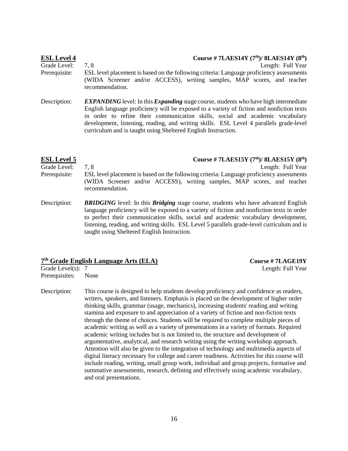| <b>ESL Level 4</b> | Course #7LAES14Y $(7th)/8LAES14Y (8th)$                                                                                                                                                                                                                                                                                                                                                                                                     |
|--------------------|---------------------------------------------------------------------------------------------------------------------------------------------------------------------------------------------------------------------------------------------------------------------------------------------------------------------------------------------------------------------------------------------------------------------------------------------|
| Grade Level:       | Length: Full Year<br>7.8                                                                                                                                                                                                                                                                                                                                                                                                                    |
| Prerequisite:      | ESL level placement is based on the following criteria: Language proficiency assessments<br>(WIDA Screener and/or ACCESS), writing samples, MAP scores, and teacher<br>recommendation.                                                                                                                                                                                                                                                      |
| Description:       | <b>EXPANDING</b> level: In this <i>Expanding</i> stage course, students who have high intermediate<br>English language proficiency will be exposed to a variety of fiction and nonfiction texts<br>in order to refine their communication skills, social and academic vocabulary<br>development, listening, reading, and writing skills. ESL Level 4 parallels grade-level<br>curriculum and is taught using Sheltered English Instruction. |

| <b>ESL Level 5</b> | Course # 7LAES15Y $(7th)/$ 8LAES15Y $(8th)$                                                                                                                                                   |
|--------------------|-----------------------------------------------------------------------------------------------------------------------------------------------------------------------------------------------|
| Grade Level:       | Length: Full Year<br>7.8                                                                                                                                                                      |
| Prerequisite:      | ESL level placement is based on the following criteria: Language proficiency assessments<br>(WIDA Screener and/or ACCESS), writing samples, MAP scores, and teacher<br>recommendation.        |
| Description:       | <b>BRIDGING</b> level: In this <b>Bridging</b> stage course, students who have advanced English<br>language proficiency will be exposed to a variety of fiction and nonfiction texts in order |

to perfect their communication skills, social and academic vocabulary development, listening, reading, and writing skills. ESL Level 5 parallels grade-level curriculum and is taught using Sheltered English Instruction.

#### **7 th Grade English Language Arts (ELA) Course # 7LAGE19Y**

Grade Level(s): 7 Length: Full Year

Prerequisites: None

Description: This course is designed to help students develop proficiency and confidence as readers, writers, speakers, and listeners. Emphasis is placed on the development of higher order thinking skills, grammar (usage, mechanics), increasing students' reading and writing stamina and exposure to and appreciation of a variety of fiction and non-fiction texts through the theme of choices. Students will be required to complete multiple pieces of academic writing as well as a variety of presentations in a variety of formats. Required academic writing includes but is not limited to, the structure and development of argumentative, analytical, and research writing using the writing workshop approach. Attention will also be given to the integration of technology and multimedia aspects of digital literacy necessary for college and career readiness. Activities for this course will include reading, writing, small group work, individual and group projects, formative and summative assessments, research, defining and effectively using academic vocabulary, and oral presentations.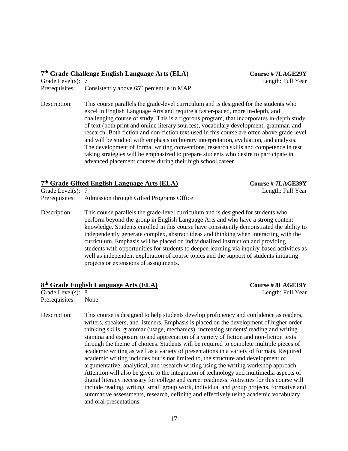| 7th Grade Challenge English Language Arts (ELA) |                                                            | <b>Course # 7LAGE29Y</b> |
|-------------------------------------------------|------------------------------------------------------------|--------------------------|
| Grade Level(s): $7$                             |                                                            | Length: Full Year        |
|                                                 | Prerequisites: Consistently above $65th$ percentile in MAP |                          |
|                                                 |                                                            |                          |

Description: This course parallels the grade-level curriculum and is designed for the students who excel in English Language Arts and require a faster-paced, more in-depth, and challenging course of study. This is a rigorous program, that incorporates in‐depth study of text (both print and online literary sources), vocabulary development, grammar, and research. Both fiction and non-fiction text used in this course are often above grade level and will be studied with emphasis on literary interpretation, evaluation, and analysis. The development of formal writing conventions, research skills and competence in test taking strategies will be emphasized to prepare students who desire to participate in advanced placement courses during their high school career.

| 7th Grade Gifted English Language Arts (ELA) |                                                                                                                                                                      | <b>Course #7LAGE39Y</b> |
|----------------------------------------------|----------------------------------------------------------------------------------------------------------------------------------------------------------------------|-------------------------|
| Grade Level $(s)$ : 7                        |                                                                                                                                                                      | Length: Full Year       |
|                                              | Prerequisites: Admission through Gifted Programs Office                                                                                                              |                         |
| Description:                                 | This course parallels the grade-level curriculum and is designed for students who<br>perform beyond the group in English Language Arts and who have a strong content |                         |

perform beyond the group in English Language Arts and who have a strong content knowledge. Students enrolled in this course have consistently demonstrated the ability to independently generate complex, abstract ideas and thinking when interacting with the curriculum. Emphasis will be placed on individualized instruction and providing students with opportunities for students to deepen learning via inquiry-based activities as well as independent exploration of course topics and the support of students initiating projects or extensions of assignments.

#### **8 th Grade English Language Arts (ELA) Course # 8LAGE19Y**

Prerequisites: None

Grade Level(s): 8 Length: Full Year

Description: This course is designed to help students develop proficiency and confidence as readers, writers, speakers, and listeners. Emphasis is placed on the development of higher order thinking skills, grammar (usage, mechanics), increasing students' reading and writing stamina and exposure to and appreciation of a variety of fiction and non-fiction texts through the theme of choices. Students will be required to complete multiple pieces of academic writing as well as a variety of presentations in a variety of formats. Required academic writing includes but is not limited to, the structure and development of argumentative, analytical, and research writing using the writing workshop approach. Attention will also be given to the integration of technology and multimedia aspects of digital literacy necessary for college and career readiness. Activities for this course will include reading, writing, small group work, individual and group projects, formative and summative assessments, research, defining and effectively using academic vocabulary and oral presentations.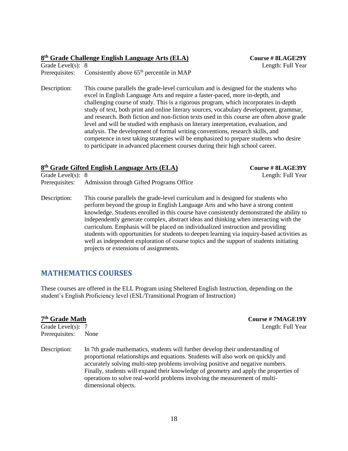#### **8 th Grade Challenge English Language Arts (ELA) Course # 8LAGE29Y**

Length: Full Year

| Grade Level(s): $8$ |                                             |
|---------------------|---------------------------------------------|
| Prerequisites:      | Consistently above $65th$ percentile in MAP |

Description: This course parallels the grade-level curriculum and is designed for the students who excel in English Language Arts and require a faster-paced, more in-depth, and challenging course of study. This is a rigorous program, which incorporates in‐depth study of text, both print and online literary sources, vocabulary development, grammar, and research. Both fiction and non-fiction texts used in this course are often above grade level and will be studied with emphasis on literary interpretation, evaluation, and analysis. The development of formal writing conventions, research skills, and competence in test taking strategies will be emphasized to prepare students who desire to participate in advanced placement courses during their high school career.

#### **8 th Grade Gifted English Language Arts (ELA) Course # 8LAGE39Y**

Grade Level(s): 8 Length: Full Year Prerequisites: Admission through Gifted Programs Office

Description: This course parallels the grade-level curriculum and is designed for students who perform beyond the group in English Language Arts and who have a strong content knowledge. Students enrolled in this course have consistently demonstrated the ability to independently generate complex, abstract ideas and thinking when interacting with the curriculum. Emphasis will be placed on individualized instruction and providing students with opportunities for students to deepen learning via inquiry-based activities as well as independent exploration of course topics and the support of students initiating projects or extensions of assignments.

#### **MATHEMATICS COURSES**

These courses are offered in the ELL Program using Sheltered English Instruction, depending on the student's English Proficiency level (ESL/Transitional Program of Instruction)

| 7 <sup>th</sup> Grade Math | <b>Course #7MAGE19Y</b>                                                                                                                                                                                                                                                                                                                                                                                                                               |
|----------------------------|-------------------------------------------------------------------------------------------------------------------------------------------------------------------------------------------------------------------------------------------------------------------------------------------------------------------------------------------------------------------------------------------------------------------------------------------------------|
| Grade Level(s): 7          | Length: Full Year                                                                                                                                                                                                                                                                                                                                                                                                                                     |
| Prerequisites:             | None                                                                                                                                                                                                                                                                                                                                                                                                                                                  |
| Description:               | In 7th grade mathematics, students will further develop their understanding of<br>proportional relationships and equations. Students will also work on quickly and<br>accurately solving multi-step problems involving positive and negative numbers.<br>Finally, students will expand their knowledge of geometry and apply the properties of<br>operations to solve real-world problems involving the measurement of multi-<br>dimensional objects. |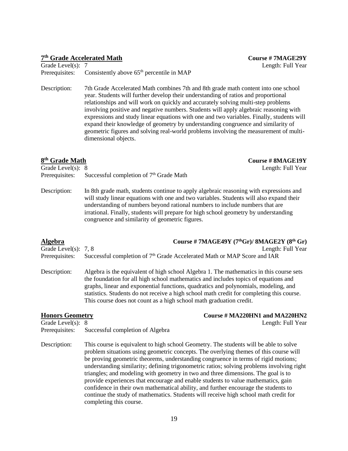#### **7 th Grade Accelerated Math Course # 7MAGE29Y**

Grade Level(s): 7 Length: Full Year Prerequisites: Consistently above  $65<sup>th</sup>$  percentile in MAP

Description: 7th Grade Accelerated Math combines 7th and 8th grade math content into one school year. Students will further develop their understanding of ratios and proportional relationships and will work on quickly and accurately solving multi-step problems involving positive and negative numbers. Students will apply algebraic reasoning with expressions and study linear equations with one and two variables. Finally, students will expand their knowledge of geometry by understanding congruence and similarity of geometric figures and solving real-world problems involving the measurement of multidimensional objects.

| 8 <sup>th</sup> Grade Math | <b>Course # 8MAGE19Y</b>                                                               |
|----------------------------|----------------------------------------------------------------------------------------|
| Grade Level(s): $8$        | Length: Full Year                                                                      |
| Prerequisites:             | Successful completion of 7 <sup>th</sup> Grade Math                                    |
| Description:               | In 8th grade math, students continue to apply algebraic reasoning with expressions and |

will study linear equations with one and two variables. Students will also expand their understanding of numbers beyond rational numbers to include numbers that are irrational. Finally, students will prepare for high school geometry by understanding congruence and similarity of geometric figures.

| <b>Algebra</b>         | Course # 7MAGE49Y $(7thGr)/$ 8MAGE2Y $(8th Gr)$                                                     |
|------------------------|-----------------------------------------------------------------------------------------------------|
| Grade Level(s): $7, 8$ | Length: Full Year                                                                                   |
|                        | Prerequisites: Successful completion of 7 <sup>th</sup> Grade Accelerated Math or MAP Score and IAR |

Description: Algebra is the equivalent of high school Algebra 1. The mathematics in this course sets the foundation for all high school mathematics and includes topics of equations and graphs, linear and exponential functions, quadratics and polynomials, modeling, and statistics. Students do not receive a high school math credit for completing this course. This course does not count as a high school math graduation credit.

**Honors Geometry Course # MA220HN1 and MA220HN2**

Grade Level(s): 8 Length: Full Year Prerequisites: Successful completion of Algebra

Description: This course is equivalent to high school Geometry. The students will be able to solve problem situations using geometric concepts. The overlying themes of this course will be proving geometric theorems, understanding congruence in terms of rigid motions; understanding similarity; defining trigonometric ratios; solving problems involving right triangles; and modeling with geometry in two and three dimensions. The goal is to provide experiences that encourage and enable students to value mathematics, gain confidence in their own mathematical ability, and further encourage the students to continue the study of mathematics. Students will receive high school math credit for completing this course.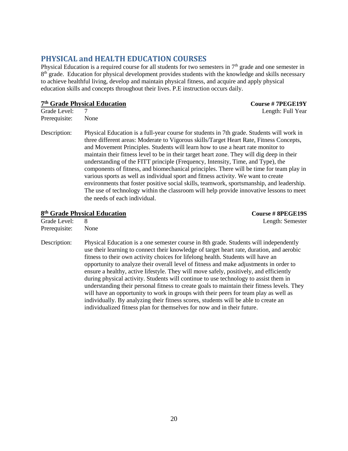#### **PHYSICAL and HEALTH EDUCATION COURSES**

Physical Education is a required course for all students for two semesters in 7<sup>th</sup> grade and one semester in 8<sup>th</sup> grade. Education for physical development provides students with the knowledge and skills necessary to achieve healthful living, develop and maintain physical fitness, and acquire and apply physical education skills and concepts throughout their lives. P.E instruction occurs daily.

#### **7 th Grade Physical Education Course # 7PEGE19Y**

**Grade Level:** 7 Length: Full Year

Prerequisite: None

Description: Physical Education is a full-year course for students in 7th grade. Students will work in three different areas: Moderate to Vigorous skills/Target Heart Rate, Fitness Concepts, and Movement Principles. Students will learn how to use a heart rate monitor to maintain their fitness level to be in their target heart zone. They will dig deep in their understanding of the FITT principle (Frequency, Intensity, Time, and Type), the components of fitness, and biomechanical principles. There will be time for team play in various sports as well as individual sport and fitness activity. We want to create environments that foster positive social skills, teamwork, sportsmanship, and leadership. The use of technology within the classroom will help provide innovative lessons to meet the needs of each individual.

#### **8 th Grade Physical Education Course # 8PEGE19S**

Length: Semester

| Grade Level:  | 8    |
|---------------|------|
| Prerequisite: | None |

Description: Physical Education is a one semester course in 8th grade. Students will independently use their learning to connect their knowledge of target heart rate, duration, and aerobic fitness to their own activity choices for lifelong health. Students will have an opportunity to analyze their overall level of fitness and make adjustments in order to ensure a healthy, active lifestyle. They will move safely, positively, and efficiently during physical activity. Students will continue to use technology to assist them in understanding their personal fitness to create goals to maintain their fitness levels. They will have an opportunity to work in groups with their peers for team play as well as individually. By analyzing their fitness scores, students will be able to create an individualized fitness plan for themselves for now and in their future.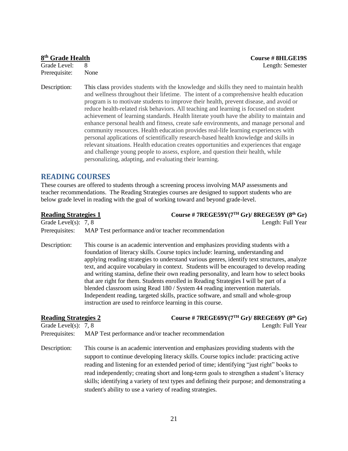#### 8<sup>th</sup> Grade Health

Prerequisite: None

Description: This class provides students with the knowledge and skills they need to maintain health and wellness throughout their lifetime. The intent of a comprehensive health education program is to motivate students to improve their health, prevent disease, and avoid or reduce health-related risk behaviors. All teaching and learning is focused on student achievement of learning standards. Health literate youth have the ability to maintain and enhance personal health and fitness, create safe environments, and manage personal and community resources. Health education provides real-life learning experiences with personal applications of scientifically research-based health knowledge and skills in relevant situations. Health education creates opportunities and experiences that engage and challenge young people to assess, explore, and question their health, while personalizing, adapting, and evaluating their learning.

#### **READING COURSES**

These courses are offered to students through a screening process involving MAP assessments and teacher recommendations. The Reading Strategies courses are designed to support students who are below grade level in reading with the goal of working toward and beyond grade-level.

| <b>Reading Strategies 1</b> | Course #7REGE59Y(7TH Gr)/ 8REGE59Y (8th Gr)                                                                                                                                                                                                                                                                                                                                                                                                                                                                                                                                                                                                                                                                                                                                             |
|-----------------------------|-----------------------------------------------------------------------------------------------------------------------------------------------------------------------------------------------------------------------------------------------------------------------------------------------------------------------------------------------------------------------------------------------------------------------------------------------------------------------------------------------------------------------------------------------------------------------------------------------------------------------------------------------------------------------------------------------------------------------------------------------------------------------------------------|
| Grade Level(s): $7, 8$      | Length: Full Year                                                                                                                                                                                                                                                                                                                                                                                                                                                                                                                                                                                                                                                                                                                                                                       |
| Prerequisites:              | MAP Test performance and/or teacher recommendation                                                                                                                                                                                                                                                                                                                                                                                                                                                                                                                                                                                                                                                                                                                                      |
| Description:                | This course is an academic intervention and emphasizes providing students with a<br>foundation of literacy skills. Course topics include: learning, understanding and<br>applying reading strategies to understand various genres, identify text structures, analyze<br>text, and acquire vocabulary in context. Students will be encouraged to develop reading<br>and writing stamina, define their own reading personality, and learn how to select books<br>that are right for them. Students enrolled in Reading Strategies I will be part of a<br>blended classroom using Read 180 / System 44 reading intervention materials.<br>Independent reading, targeted skills, practice software, and small and whole-group<br>instruction are used to reinforce learning in this course. |
| <b>Reading Strategies 2</b> | Course #7REGE69Y(7TH Gr)/ 8REGE69Y (8th Gr)                                                                                                                                                                                                                                                                                                                                                                                                                                                                                                                                                                                                                                                                                                                                             |
| Grade Level(s): $7, 8$      | Length: Full Year                                                                                                                                                                                                                                                                                                                                                                                                                                                                                                                                                                                                                                                                                                                                                                       |
| Prerequisites:              | MAP Test performance and/or teacher recommendation                                                                                                                                                                                                                                                                                                                                                                                                                                                                                                                                                                                                                                                                                                                                      |
| Description:                | This course is an academic intervention and emphasizes providing students with the<br>support to continue developing literacy skills. Course topics include: practicing active<br>reading and listening for an extended period of time; identifying "just right" books to<br>read independently; creating short and long-term goals to strengthen a student's literacy<br>skills; identifying a variety of text types and defining their purpose; and demonstrating a                                                                                                                                                                                                                                                                                                                   |

student's ability to use a variety of reading strategies.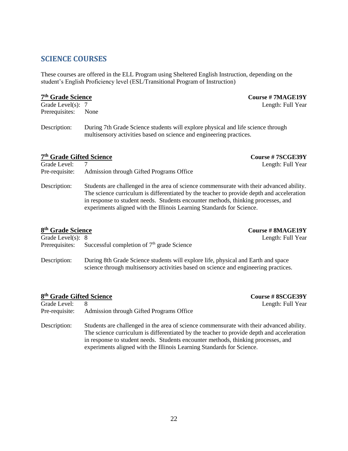#### **SCIENCE COURSES**

These courses are offered in the ELL Program using Sheltered English Instruction, depending on the student's English Proficiency level (ESL/Transitional Program of Instruction)

#### 7<sup>th</sup> Grade Science

 $\text{Course}$  # 7MAGE19Y

Grade Level(s): 7 Length: Full Year Prerequisites: None

Description: During 7th Grade Science students will explore physical and life science through multisensory activities based on science and engineering practices.

#### **7 th Grade Gifted Science Course # 7SCGE39Y**

Grade Level: 7 Length: Full Year

Pre-requisite: Admission through Gifted Programs Office

Description: Students are challenged in the area of science commensurate with their advanced ability. The science curriculum is differentiated by the teacher to provide depth and acceleration in response to student needs. Students encounter methods, thinking processes, and experiments aligned with the Illinois Learning Standards for Science.

#### 8<sup>th</sup> Grade Science

**th Grade Science Course # 8MAGE19Y** " ==<br>"^th: Full Year

| Grade Level(s): $8$ | Length: Full $Y_0$                                                                  |  |
|---------------------|-------------------------------------------------------------------------------------|--|
| Prerequisites:      | Successful completion of $7th$ grade Science                                        |  |
| Description:        | During 8th Grade Science students will explore life, physical and Earth and space   |  |
|                     | science through multisensory activities based on science and engineering practices. |  |

#### **8 th Grade Gifted Science Course # 8SCGE39Y**

Grade Level: 8 Length: Full Year Pre-requisite: Admission through Gifted Programs Office Description: Students are challenged in the area of science commensurate with their advanced ability. The science curriculum is differentiated by the teacher to provide depth and acceleration in response to student needs. Students encounter methods, thinking processes, and experiments aligned with the Illinois Learning Standards for Science.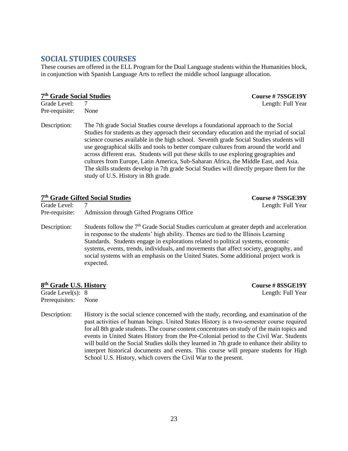#### **SOCIAL STUDIES COURSES**

These courses are offered in the ELL Program for the Dual Language students within the Humanities block, in conjunction with Spanish Language Arts to reflect the middle school language allocation.

#### **7 th Grade Social Studies Course # 7SSGE19Y**

**Grade Level:** 7 Length: Full Year Pre-requisite: None

Description: The 7th grade Social Studies course develops a foundational approach to the Social Studies for students as they approach their secondary education and the myriad of social science courses available in the high school. Seventh grade Social Studies students will use geographical skills and tools to better compare cultures from around the world and across different eras. Students will put these skills to use exploring geographies and cultures from Europe, Latin America, Sub-Saharan Africa, the Middle East, and Asia. The skills students develop in 7th grade Social Studies will directly prepare them for the study of U.S. History in 8th grade.

|                | 7th Grade Gifted Social Studies                                                                                                                                                                                                                                                                                                                                                                                                                                                     | Course #7SSGE39Y  |
|----------------|-------------------------------------------------------------------------------------------------------------------------------------------------------------------------------------------------------------------------------------------------------------------------------------------------------------------------------------------------------------------------------------------------------------------------------------------------------------------------------------|-------------------|
| Grade Level:   | 7                                                                                                                                                                                                                                                                                                                                                                                                                                                                                   | Length: Full Year |
| Pre-requisite: | Admission through Gifted Programs Office                                                                                                                                                                                                                                                                                                                                                                                                                                            |                   |
| Description:   | Students follow the 7 <sup>th</sup> Grade Social Studies curriculum at greater depth and acceleration<br>in response to the students' high ability. The mes are tied to the Illinois Learning<br>Standards. Students engage in explorations related to political systems, economic<br>systems, events, trends, individuals, and movements that affect society, geography, and<br>social systems with an emphasis on the United States. Some additional project work is<br>expected. |                   |

#### **8 th Grade U.S. History Course # 8SSGE19Y**

Prerequisites: None

Grade Level(s): 8 Length: Full Year

Description: History is the social science concerned with the study, recording, and examination of the past activities of human beings. United States History is a two‐semester course required for all 8th grade students. The course content concentrates on study of the main topics and events in United States History from the Pre-Colonial period to the Civil War. Students will build on the Social Studies skills they learned in 7th grade to enhance their ability to interpret historical documents and events. This course will prepare students for High School U.S. History, which covers the Civil War to the present.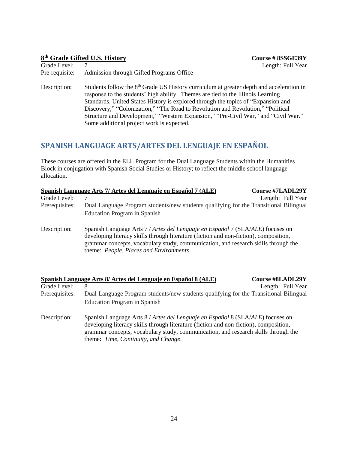#### **8 th Grade Gifted U.S. History Course # 8SSGE39Y**

| UTAUC LEVEI.   |                                          |
|----------------|------------------------------------------|
| Pre-requisite: | Admission through Gifted Programs Office |

Description: Students follow the 8<sup>th</sup> Grade US History curriculum at greater depth and acceleration in response to the students' high ability. Themes are tied to the Illinois Learning Standards. United States History is explored through the topics of "Expansion and Discovery," "Colonization," "The Road to Revolution and Revolution," "Political Structure and Development," "Western Expansion," "Pre-Civil War," and "Civil War." Some additional project work is expected.

### **SPANISH LANGUAGE ARTS/ARTES DEL LENGUAJE EN ESPAŇOL**

These courses are offered in the ELL Program for the Dual Language Students within the Humanities Block in conjugation with Spanish Social Studies or History; to reflect the middle school language allocation.

|                | Spanish Language Arts 7/ Artes del Lenguaje en Español 7 (ALE)                                                                                                                                                                                                                                           | <b>Course #7LADL29Y</b> |
|----------------|----------------------------------------------------------------------------------------------------------------------------------------------------------------------------------------------------------------------------------------------------------------------------------------------------------|-------------------------|
| Grade Level:   |                                                                                                                                                                                                                                                                                                          | Length: Full Year       |
| Prerequisites: | Dual Language Program students/new students qualifying for the Transitional Bilingual                                                                                                                                                                                                                    |                         |
|                | Education Program in Spanish                                                                                                                                                                                                                                                                             |                         |
| Description:   | Spanish Language Arts 7 / Artes del Lenguaje en Español 7 (SLA/ALE) focuses on<br>developing literacy skills through literature (fiction and non-fiction), composition,<br>grammar concepts, vocabulary study, communication, and research skills through the<br>theme: People, Places and Environments. |                         |

|                | Spanish Language Arts 8/ Artes del Lenguaje en Español 8 (ALE)                                                                                                                                                                                                                                        | <b>Course #8LADL29Y</b> |
|----------------|-------------------------------------------------------------------------------------------------------------------------------------------------------------------------------------------------------------------------------------------------------------------------------------------------------|-------------------------|
| Grade Level:   | 8                                                                                                                                                                                                                                                                                                     | Length: Full Year       |
| Prerequisites: | Dual Language Program students/new students qualifying for the Transitional Bilingual                                                                                                                                                                                                                 |                         |
|                | Education Program in Spanish                                                                                                                                                                                                                                                                          |                         |
| Description:   | Spanish Language Arts 8 / Artes del Lenguaje en Español 8 (SLA/ALE) focuses on<br>developing literacy skills through literature (fiction and non-fiction), composition,<br>grammar concepts, vocabulary study, communication, and research skills through the<br>theme: Time, Continuity, and Change. |                         |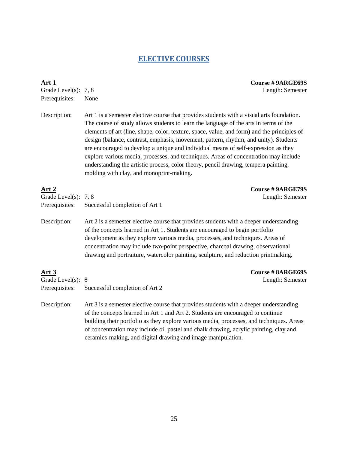#### **ELECTIVE COURSES**

Prerequisites: None

**Art 1 Course # 9ARGE69S** Grade Level(s): 7, 8 Length: Semester

Description: Art 1 is a semester elective course that provides students with a visual arts foundation. The course of study allows students to learn the language of the arts in terms of the elements of art (line, shape, color, texture, space, value, and form) and the principles of design (balance, contrast, emphasis, movement, pattern, rhythm, and unity). Students are encouraged to develop a unique and individual means of self-expression as they explore various media, processes, and techniques. Areas of concentration may include understanding the artistic process, color theory, pencil drawing, tempera painting, molding with clay, and monoprint-making.

### **Art 2 Course # 9ARGE79S** Grade Level(s): 7, 8 Length: Semester Prerequisites: Successful completion of Art 1 Description: Art 2 is a semester elective course that provides students with a deeper understanding of the concepts learned in Art 1. Students are encouraged to begin portfolio development as they explore various media, processes, and techniques. Areas of concentration may include two-point perspective, charcoal drawing, observational drawing and portraiture, watercolor painting, sculpture, and reduction printmaking. **Art 3 Course # 8ARGE69S** Grade Level(s): 8 Length: Semester Prerequisites: Successful completion of Art 2 Description: Art 3 is a semester elective course that provides students with a deeper understanding of the concepts learned in Art 1 and Art 2. Students are encouraged to continue building their portfolio as they explore various media, processes, and techniques. Areas

of concentration may include oil pastel and chalk drawing, acrylic painting, clay and

ceramics-making, and digital drawing and image manipulation.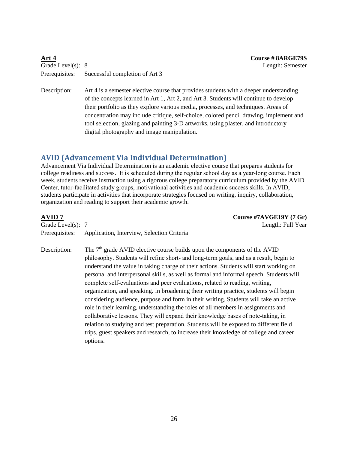| Art 4               |                                               |
|---------------------|-----------------------------------------------|
| Grade Level(s): $8$ |                                               |
|                     | Prerequisites: Successful completion of Art 3 |

**Art 4 Course # 8ARGE79S** Length: Semester

Description: Art 4 is a semester elective course that provides students with a deeper understanding of the concepts learned in Art 1, Art 2, and Art 3. Students will continue to develop their portfolio as they explore various media, processes, and techniques. Areas of concentration may include critique, self-choice, colored pencil drawing, implement and tool selection, glazing and painting 3-D artworks, using plaster, and introductory digital photography and image manipulation.

#### **AVID (Advancement Via Individual Determination)**

Advancement Via Individual Determination is an academic elective course that prepares students for college readiness and success. It is scheduled during the regular school day as a year-long course. Each week, students receive instruction using a rigorous college preparatory curriculum provided by the AVID Center, tutor‐facilitated study groups, motivational activities and academic success skills. In AVID, students participate in activities that incorporate strategies focused on writing, inquiry, collaboration, organization and reading to support their academic growth.

| AVID 7                | Course #7AVGE19Y (7 Gr)                                                                                                                                                                                                                                                                                                                                                                                                                                                                                                                                                                                                                                                                                                                                                                               |
|-----------------------|-------------------------------------------------------------------------------------------------------------------------------------------------------------------------------------------------------------------------------------------------------------------------------------------------------------------------------------------------------------------------------------------------------------------------------------------------------------------------------------------------------------------------------------------------------------------------------------------------------------------------------------------------------------------------------------------------------------------------------------------------------------------------------------------------------|
| Grade Level $(s)$ : 7 | Length: Full Year                                                                                                                                                                                                                                                                                                                                                                                                                                                                                                                                                                                                                                                                                                                                                                                     |
| Prerequisites:        | Application, Interview, Selection Criteria                                                                                                                                                                                                                                                                                                                                                                                                                                                                                                                                                                                                                                                                                                                                                            |
| Description:          | The $7th$ grade AVID elective course builds upon the components of the AVID<br>philosophy. Students will refine short- and long-term goals, and as a result, begin to<br>understand the value in taking charge of their actions. Students will start working on<br>personal and interpersonal skills, as well as formal and informal speech. Students will<br>complete self-evaluations and peer evaluations, related to reading, writing,<br>organization, and speaking. In broadening their writing practice, students will begin<br>considering audience, purpose and form in their writing. Students will take an active<br>role in their learning, understanding the roles of all members in assignments and<br>collaborative lessons. They will expand their knowledge bases of note-taking, in |
|                       | relation to studying and test preparation. Students will be exposed to different field                                                                                                                                                                                                                                                                                                                                                                                                                                                                                                                                                                                                                                                                                                                |
|                       | trips, guest speakers and research, to increase their knowledge of college and career<br>options.                                                                                                                                                                                                                                                                                                                                                                                                                                                                                                                                                                                                                                                                                                     |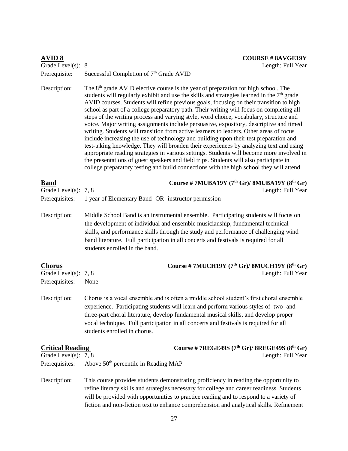| <b>AVID 8</b><br>Grade Level(s): 8 | <b>COURSE # 8AVGE19Y</b><br>Length: Full Year                                                                                                                                                                                                                                                                                                                                                                                                                                                                                                                                                                                                                                                                                                                                                                                                                                                                                                                                                                                                                                                                                    |
|------------------------------------|----------------------------------------------------------------------------------------------------------------------------------------------------------------------------------------------------------------------------------------------------------------------------------------------------------------------------------------------------------------------------------------------------------------------------------------------------------------------------------------------------------------------------------------------------------------------------------------------------------------------------------------------------------------------------------------------------------------------------------------------------------------------------------------------------------------------------------------------------------------------------------------------------------------------------------------------------------------------------------------------------------------------------------------------------------------------------------------------------------------------------------|
| Prerequisite:                      | Successful Completion of 7 <sup>th</sup> Grade AVID                                                                                                                                                                                                                                                                                                                                                                                                                                                                                                                                                                                                                                                                                                                                                                                                                                                                                                                                                                                                                                                                              |
| Description:                       | The $8th$ grade AVID elective course is the year of preparation for high school. The<br>students will regularly exhibit and use the skills and strategies learned in the $7th$ grade<br>AVID courses. Students will refine previous goals, focusing on their transition to high<br>school as part of a college preparatory path. Their writing will focus on completing all<br>steps of the writing process and varying style, word choice, vocabulary, structure and<br>voice. Major writing assignments include persuasive, expository, descriptive and timed<br>writing. Students will transition from active learners to leaders. Other areas of focus<br>include increasing the use of technology and building upon their test preparation and<br>test-taking knowledge. They will broaden their experiences by analyzing text and using<br>appropriate reading strategies in various settings. Students will become more involved in<br>the presentations of guest speakers and field trips. Students will also participate in<br>college preparatory testing and build connections with the high school they will attend. |
| <b>Band</b>                        | Course # 7MUBA19Y $(7th Gr)/$ 8MUBA19Y $(8th Gr)$                                                                                                                                                                                                                                                                                                                                                                                                                                                                                                                                                                                                                                                                                                                                                                                                                                                                                                                                                                                                                                                                                |
| Grade Level(s): $7, 8$             | Length: Full Year                                                                                                                                                                                                                                                                                                                                                                                                                                                                                                                                                                                                                                                                                                                                                                                                                                                                                                                                                                                                                                                                                                                |
| Prerequisites:                     | 1 year of Elementary Band -OR- instructor permission                                                                                                                                                                                                                                                                                                                                                                                                                                                                                                                                                                                                                                                                                                                                                                                                                                                                                                                                                                                                                                                                             |
| Description:                       | Middle School Band is an instrumental ensemble. Participating students will focus on<br>the development of individual and ensemble musicianship, fundamental technical<br>skills, and performance skills through the study and performance of challenging wind<br>band literature. Full participation in all concerts and festivals is required for all<br>students enrolled in the band.                                                                                                                                                                                                                                                                                                                                                                                                                                                                                                                                                                                                                                                                                                                                        |
| <b>Chorus</b>                      | Course # 7MUCH19Y (7 <sup>th</sup> Gr)/ 8MUCH19Y (8 <sup>th</sup> Gr)                                                                                                                                                                                                                                                                                                                                                                                                                                                                                                                                                                                                                                                                                                                                                                                                                                                                                                                                                                                                                                                            |
| Grade Level(s): $7, 8$             | Length: Full Year                                                                                                                                                                                                                                                                                                                                                                                                                                                                                                                                                                                                                                                                                                                                                                                                                                                                                                                                                                                                                                                                                                                |
| Prerequisites:                     | None                                                                                                                                                                                                                                                                                                                                                                                                                                                                                                                                                                                                                                                                                                                                                                                                                                                                                                                                                                                                                                                                                                                             |
| Description:                       | Chorus is a vocal ensemble and is often a middle school student's first choral ensemble<br>experience. Participating students will learn and perform various styles of two- and<br>three-part choral literature, develop fundamental musical skills, and develop proper<br>vocal technique. Full participation in all concerts and festivals is required for all<br>students enrolled in chorus.                                                                                                                                                                                                                                                                                                                                                                                                                                                                                                                                                                                                                                                                                                                                 |
| <b>Critical Reading</b>            | Course #7REGE49S $(7th Gr)/8REGE49S (8th Gr)$                                                                                                                                                                                                                                                                                                                                                                                                                                                                                                                                                                                                                                                                                                                                                                                                                                                                                                                                                                                                                                                                                    |
| Grade Level(s): 7, 8               | Length: Full Year                                                                                                                                                                                                                                                                                                                                                                                                                                                                                                                                                                                                                                                                                                                                                                                                                                                                                                                                                                                                                                                                                                                |
| Prerequisites:                     | Above 50 <sup>th</sup> percentile in Reading MAP                                                                                                                                                                                                                                                                                                                                                                                                                                                                                                                                                                                                                                                                                                                                                                                                                                                                                                                                                                                                                                                                                 |
| Description:                       | This course provides students demonstrating proficiency in reading the opportunity to<br>refine literacy skills and strategies necessary for college and career readiness. Students<br>will be provided with opportunities to practice reading and to respond to a variety of<br>fiction and non-fiction text to enhance comprehension and analytical skills. Refinement                                                                                                                                                                                                                                                                                                                                                                                                                                                                                                                                                                                                                                                                                                                                                         |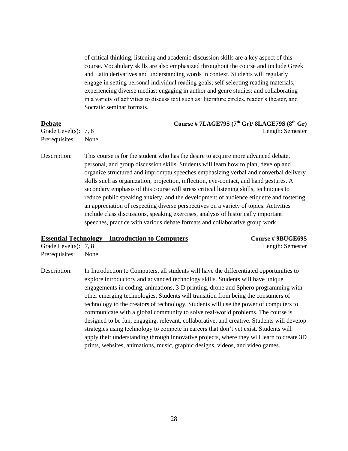of critical thinking, listening and academic discussion skills are a key aspect of this course. Vocabulary skills are also emphasized throughout the course and include Greek and Latin derivatives and understanding words in context. Students will regularly engage in setting personal individual reading goals; self‐selecting reading materials, experiencing diverse medias; engaging in author and genre studies; and collaborating in a variety of activities to discuss text such as: literature circles, reader's theater, and Socratic seminar formats.

| <b>Debate</b>          | Course #7LAGE79S (7th Gr)/ 8LAGE79S (8th Gr) |  |
|------------------------|----------------------------------------------|--|
| Grade Level(s): $7, 8$ | Length: Semester                             |  |
| Prerequisites: None    |                                              |  |

Description: This course is for the student who has the desire to acquire more advanced debate, personal, and group discussion skills. Students will learn how to plan, develop and organize structured and impromptu speeches emphasizing verbal and nonverbal delivery skills such as organization, projection, inflection, eye-contact, and hand gestures. A secondary emphasis of this course will stress critical listening skills, techniques to reduce public speaking anxiety, and the development of audience etiquette and fostering an appreciation of respecting diverse perspectives on a variety of topics. Activities include class discussions, speaking exercises, analysis of historically important speeches, practice with various debate formats and collaborative group work.

#### **Essential Technology – Introduction to Computers Course # 9BUGE69S**

Grade Level(s): 7, 8 Length: Semester Prerequisites: None

Description: In Introduction to Computers, all students will have the differentiated opportunities to explore introductory and advanced technology skills. Students will have unique engagements in coding, animations, 3-D printing, drone and Sphero programming with other emerging technologies. Students will transition from being the consumers of technology to the creators of technology. Students will use the power of computers to communicate with a global community to solve real-world problems. The course is designed to be fun, engaging, relevant, collaborative, and creative. Students will develop strategies using technology to compete in careers that don't yet exist. Students will apply their understanding through innovative projects, where they will learn to create 3D prints, websites, animations, music, graphic designs, videos, and video games.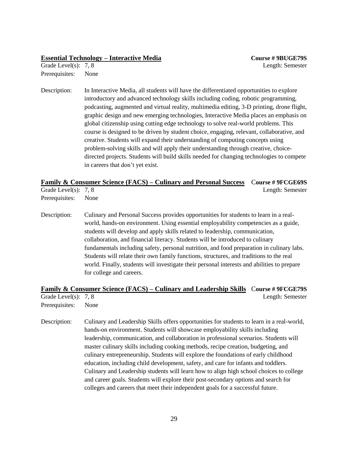#### **Essential Technology – Interactive Media Course # 9BUGE79S**

Prerequisites: None

Description: In Interactive Media, all students will have the differentiated opportunities to explore introductory and advanced technology skills including coding, robotic programming, podcasting, augmented and virtual reality, multimedia editing, 3-D printing, drone flight, graphic design and new emerging technologies, Interactive Media places an emphasis on global citizenship using cutting edge technology to solve real-world problems. This course is designed to be driven by student choice, engaging, relevant, collaborative, and creative. Students will expand their understanding of computing concepts using problem-solving skills and will apply their understanding through creative, choicedirected projects. Students will build skills needed for changing technologies to compete in careers that don't yet exist.

#### **Family & Consumer Science (FACS) – Culinary and Personal Success** C**ourse # 9FCGE69S** Grade Level(s): 7, 8 Length: Semester

Prerequisites: None

Description: Culinary and Personal Success provides opportunities for students to learn in a realworld, hands-on environment. Using essential employability competencies as a guide, students will develop and apply skills related to leadership, communication, collaboration, and financial literacy. Students will be introduced to culinary fundamentals including safety, personal nutrition, and food preparation in culinary labs. Students will relate their own family functions, structures, and traditions to the real world. Finally, students will investigate their personal interests and abilities to prepare for college and careers.

#### **Family & Consumer Science (FACS) – Culinary and Leadership Skills** C**ourse # 9FCGE79S** Grade Level(s): 7, 8 Length: Semester

Prerequisites: None

Description: Culinary and Leadership Skills offers opportunities for students to learn in a real-world, hands-on environment. Students will showcase employability skills including leadership, communication, and collaboration in professional scenarios. Students will master culinary skills including cooking methods, recipe creation, budgeting, and culinary entrepreneurship. Students will explore the foundations of early childhood education, including child development, safety, and care for infants and toddlers. Culinary and Leadership students will learn how to align high school choices to college and career goals. Students will explore their post-secondary options and search for colleges and careers that meet their independent goals for a successful future.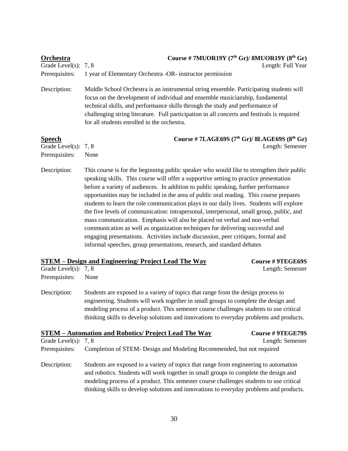| <b>Orchestra</b><br>Grade Level(s):                     | Course # 7MUOR19Y $(7th Gr)/$ 8MUOR19Y $(8th Gr)$<br>Length: Full Year<br>7,8                                                                                                                                                                                                                                                                                                                                                                                                                                                                                                                                                                                                                                                                                                                                                                                                            |  |  |
|---------------------------------------------------------|------------------------------------------------------------------------------------------------------------------------------------------------------------------------------------------------------------------------------------------------------------------------------------------------------------------------------------------------------------------------------------------------------------------------------------------------------------------------------------------------------------------------------------------------------------------------------------------------------------------------------------------------------------------------------------------------------------------------------------------------------------------------------------------------------------------------------------------------------------------------------------------|--|--|
| Prerequisites:                                          | 1 year of Elementary Orchestra -OR- instructor permission                                                                                                                                                                                                                                                                                                                                                                                                                                                                                                                                                                                                                                                                                                                                                                                                                                |  |  |
| Description:                                            | Middle School Orchestra is an instrumental string ensemble. Participating students will<br>focus on the development of individual and ensemble musicianship, fundamental<br>technical skills, and performance skills through the study and performance of<br>challenging string literature. Full participation in all concerts and festivals is required<br>for all students enrolled in the orchestra.                                                                                                                                                                                                                                                                                                                                                                                                                                                                                  |  |  |
| <b>Speech</b><br>Grade Level(s): 7, 8<br>Prerequisites: | Course # 7LAGE69S $(7th Gr)/8LAGE69S$ $(8th Gr)$<br>Length: Semester<br>None                                                                                                                                                                                                                                                                                                                                                                                                                                                                                                                                                                                                                                                                                                                                                                                                             |  |  |
| Description:                                            | This course is for the beginning public speaker who would like to strengthen their public<br>speaking skills. This course will offer a supportive setting to practice presentation<br>before a variety of audiences. In addition to public speaking, further performance<br>opportunities may be included in the area of public oral reading. This course prepares<br>students to learn the role communication plays in our daily lives. Students will explore<br>the five levels of communication: intrapersonal, interpersonal, small group, public, and<br>mass communication. Emphasis will also be placed on verbal and non-verbal<br>communication as well as organization techniques for delivering successful and<br>engaging presentations. Activities include discussion, peer critiques, formal and<br>informal speeches, group presentations, research, and standard debates |  |  |
| Grade Level $(s)$ : 7, 8<br>Prerequisites:              | <b>STEM</b> – Design and Engineering/ Project Lead The Way<br>Course # 9TEGE69S<br>Length: Semester<br>None                                                                                                                                                                                                                                                                                                                                                                                                                                                                                                                                                                                                                                                                                                                                                                              |  |  |
| Description:                                            | Students are exposed to a variety of topics that range from the design process to<br>engineering. Students will work together in small groups to complete the design and<br>modeling process of a product. This semester course challenges students to use critical<br>thinking skills to develop solutions and innovations to everyday problems and products.                                                                                                                                                                                                                                                                                                                                                                                                                                                                                                                           |  |  |
|                                                         | <b>STEM</b> – Automation and Robotics/ Project Lead The Way<br><b>Course # 9TEGE79S</b>                                                                                                                                                                                                                                                                                                                                                                                                                                                                                                                                                                                                                                                                                                                                                                                                  |  |  |
| Grade Level(s): 7, 8<br>Prerequisites:                  | Length: Semester<br>Completion of STEM- Design and Modeling Recommended, but not required                                                                                                                                                                                                                                                                                                                                                                                                                                                                                                                                                                                                                                                                                                                                                                                                |  |  |
| Description:                                            | Students are exposed to a variety of topics that range from engineering to automation<br>and robotics. Students will work together in small groups to complete the design and<br>modeling process of a product. This semester course challenges students to use critical<br>thinking skills to develop solutions and innovations to everyday problems and products.                                                                                                                                                                                                                                                                                                                                                                                                                                                                                                                      |  |  |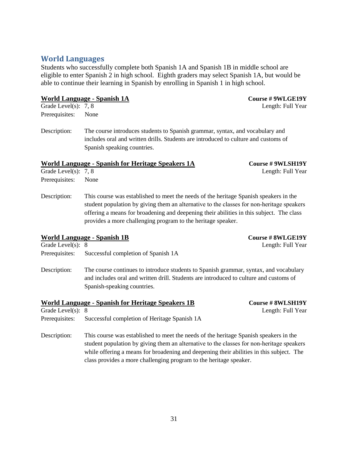Prerequisites: None

**World Languages**

Description: The course introduces students to Spanish grammar, syntax, and vocabulary and includes oral and written drills. Students are introduced to culture and customs of Spanish speaking countries.

Students who successfully complete both Spanish 1A and Spanish 1B in middle school are eligible to enter Spanish 2 in high school. Eighth graders may select Spanish 1A, but would be

able to continue their learning in Spanish by enrolling in Spanish 1 in high school.

#### **World Language - Spanish for Heritage Speakers 1A Course # 9WLSH19Y**

Grade Level(s): 7, 8 Length: Full Year

Prerequisites: None

Description: This course was established to meet the needs of the heritage Spanish speakers in the student population by giving them an alternative to the classes for non-heritage speakers offering a means for broadening and deepening their abilities in this subject. The class provides a more challenging program to the heritage speaker.

### **World Language - Spanish 1B Course # 8WLGE19Y** Grade Level(s): 8 Length: Full Year Prerequisites: Successful completion of Spanish 1A

Description: The course continues to introduce students to Spanish grammar, syntax, and vocabulary and includes oral and written drill. Students are introduced to culture and customs of Spanish-speaking countries.

|                     | World Language - Spanish for Heritage Speakers 1B | Course # 8WLSH19Y |
|---------------------|---------------------------------------------------|-------------------|
| Grade Level(s): $8$ |                                                   | Length: Full Year |
| Prerequisites:      | Successful completion of Heritage Spanish 1A      |                   |

Description: This course was established to meet the needs of the heritage Spanish speakers in the student population by giving them an alternative to the classes for non-heritage speakers while offering a means for broadening and deepening their abilities in this subject. The class provides a more challenging program to the heritage speaker.

**World Language - Spanish 1A Course # 9WLGE19Y**

Grade Level(s): 7, 8 Length: Full Year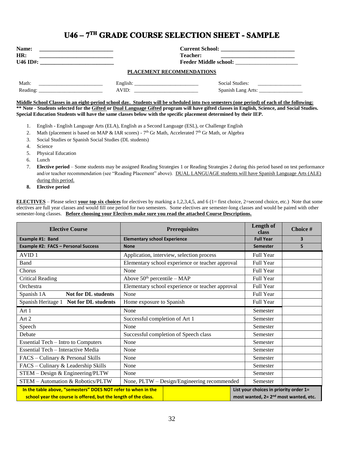### U46 - 7TH GRADE COURSE SELECTION SHEET - SAMPLE

| <b>Name:</b><br>HR:<br><u> 1989 - Johann John Stein, mars an deus Amerikaansk kommunister (</u> | Teacher:                  |                                  |
|-------------------------------------------------------------------------------------------------|---------------------------|----------------------------------|
|                                                                                                 | PLACEMENT RECOMMENDATIONS |                                  |
|                                                                                                 | AVID:                     | Social Studies: ________________ |

**Middle School Classes in an eight-period school day. Students will be scheduled into two semesters (one period) of each of the following: \*\* Note - Students selected for the Gifted or Dual Language Gifted program will have gifted classes in English, Science, and Social Studies. Special Education Students will have the same classes below with the specific placement determined by their IEP.**

- 1. English English Language Arts (ELA), English as a Second Language (ESL), or Challenge English
- 2. Math (placement is based on MAP & IAR scores)  $7<sup>th</sup>$  Gr Math, Accelerated  $7<sup>th</sup>$  Gr Math, or Algebra
- 3. Social Studies or Spanish Social Studies (DL students)
- 4. Science
- 5. Physical Education
- 6. Lunch
- 7. **Elective period** Some students may be assigned Reading Strategies 1 or Reading Strategies 2 during this period based on test performance and/or teacher recommendation (see "Reading Placement" above). DUAL LANGUAGE students will have Spanish Language Arts (ALE) during this period.
- **8. Elective period**

**ELECTIVES** – Please select **your top six choices** for electives by marking a 1,2,3,4,5, and 6 (1= first choice, 2=second choice, etc.) Note that some electives are full year classes and would fill one period for two semesters. Some electives are semester-long classes and would be paired with other semester-long classes. **Before choosing your Electives make sure you read the attached Course Descriptions.**

| <b>Elective Course</b>                                                                                                           | <b>Prerequisites</b>                |                                                  | Length of<br>class | Choice #                                                                                    |                         |
|----------------------------------------------------------------------------------------------------------------------------------|-------------------------------------|--------------------------------------------------|--------------------|---------------------------------------------------------------------------------------------|-------------------------|
| Example #1: Band                                                                                                                 | <b>Elementary school Experience</b> |                                                  |                    | <b>Full Year</b>                                                                            | $\overline{\mathbf{3}}$ |
| Example #2: FACS - Personal Success                                                                                              | <b>None</b>                         |                                                  |                    | <b>Semester</b>                                                                             | 5                       |
| AVID <sub>1</sub>                                                                                                                |                                     | Application, interview, selection process        |                    | Full Year                                                                                   |                         |
| Band                                                                                                                             |                                     | Elementary school experience or teacher approval |                    | Full Year                                                                                   |                         |
| Chorus                                                                                                                           | None                                |                                                  |                    | Full Year                                                                                   |                         |
| <b>Critical Reading</b>                                                                                                          | Above $50th$ percentile – MAP       |                                                  |                    | Full Year                                                                                   |                         |
| Orchestra                                                                                                                        |                                     | Elementary school experience or teacher approval |                    | Full Year                                                                                   |                         |
| Spanish 1A<br><b>Not for DL students</b>                                                                                         | None                                |                                                  |                    | Full Year                                                                                   |                         |
| Spanish Heritage 1 Not for DL students                                                                                           | Home exposure to Spanish            |                                                  | Full Year          |                                                                                             |                         |
| Art 1                                                                                                                            | None                                |                                                  | Semester           |                                                                                             |                         |
| Art 2                                                                                                                            | Successful completion of Art 1      |                                                  |                    | Semester                                                                                    |                         |
| Speech                                                                                                                           | None                                |                                                  |                    | Semester                                                                                    |                         |
| Debate                                                                                                                           |                                     | Successful completion of Speech class            |                    | Semester                                                                                    |                         |
| <b>Essential Tech – Intro to Computers</b>                                                                                       | None                                |                                                  |                    | Semester                                                                                    |                         |
| Essential Tech - Interactive Media                                                                                               | None                                |                                                  |                    | Semester                                                                                    |                         |
| FACS - Culinary & Personal Skills                                                                                                | None                                |                                                  | Semester           |                                                                                             |                         |
| FACS – Culinary & Leadership Skills                                                                                              | None                                |                                                  | Semester           |                                                                                             |                         |
| STEM - Design & Engineering/PLTW                                                                                                 | None                                |                                                  |                    | Semester                                                                                    |                         |
| STEM - Automation & Robotics/PLTW                                                                                                |                                     | None, PLTW - Design/Engineering recommended      |                    | Semester                                                                                    |                         |
| In the table above, "semesters" DOES NOT refer to when in the<br>school year the course is offered, but the length of the class. |                                     |                                                  |                    | List your choices in priority order 1=<br>most wanted, 2= 2 <sup>nd</sup> most wanted, etc. |                         |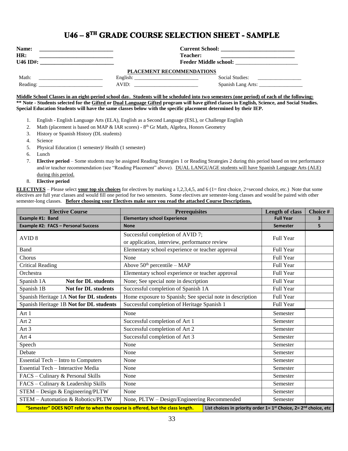### **U46 - 8TH GRADE COURSE SELECTION SHEET - SAMPLE**

| <b>Name:</b><br>HR:<br>U46 ID#: | the contract of the contract of the contract of the contract of the contract of                                                                                                                                                                                                                                                                                       | <b>Current School:</b><br><b>Teacher:</b><br><b>Feeder Middle school:</b> |  |  |
|---------------------------------|-----------------------------------------------------------------------------------------------------------------------------------------------------------------------------------------------------------------------------------------------------------------------------------------------------------------------------------------------------------------------|---------------------------------------------------------------------------|--|--|
|                                 |                                                                                                                                                                                                                                                                                                                                                                       | <b>PLACEMENT RECOMMENDATIONS</b>                                          |  |  |
| Math:                           | English: $\qquad \qquad$ $\qquad \qquad$ $\qquad \qquad$ $\qquad \qquad$ $\qquad \qquad$ $\qquad \qquad$ $\qquad \qquad$ $\qquad \qquad$ $\qquad \qquad$ $\qquad \qquad$ $\qquad$ $\qquad \qquad$ $\qquad \qquad$ $\qquad$ $\qquad$ $\qquad$ $\qquad$ $\qquad$ $\qquad$ $\qquad$ $\qquad$ $\qquad$ $\qquad$ $\qquad$ $\qquad$ $\qquad$ $\qquad$ $\qquad$ $\qquad$ $\$ | Social Studies:                                                           |  |  |
| Reading:                        | AVID:<br>the control of the control of the control of the control of                                                                                                                                                                                                                                                                                                  |                                                                           |  |  |

#### **Middle School Classes in an eight-period school day. Students will be scheduled into two semesters (one period) of each of the following: \*\* Note - Students selected for the Gifted or Dual Language Gifted program will have gifted classes in English, Science, and Social Studies. Special Education Students will have the same classes below with the specific placement determined by their IEP.**

- 1. English English Language Arts (ELA), English as a Second Language (ESL), or Challenge English
- 2. Math (placement is based on MAP & IAR scores)  $8<sup>th</sup>$  Gr Math, Algebra, Honors Geometry
- 3. History or Spanish History (DL students)
- 4. Science
- 5. Physical Education (1 semester)/ Health (1 semester)
- 6. Lunch
- 7. **Elective period** Some students may be assigned Reading Strategies 1 or Reading Strategies 2 during this period based on test performance and/or teacher recommendation (see "Reading Placement" above). DUAL LANGUAGE students will have Spanish Language Arts (ALE) during this period.
- 8. **Elective period**

**ELECTIVES** – Please select **your top six choices** for electives by marking a 1,2,3,4,5, and 6 (1= first choice, 2=second choice, etc.) Note that some electives are full year classes and would fill one period for two semesters. Some electives are semester-long classes and would be paired with other semester-long classes. **Before choosing your Electives make sure you read the attached Course Descriptions.**

| <b>Elective Course</b>                                                                                                                                                  | <b>Prerequisites</b>                                      | <b>Length of class</b> | Choice #                |
|-------------------------------------------------------------------------------------------------------------------------------------------------------------------------|-----------------------------------------------------------|------------------------|-------------------------|
| Example #1: Band                                                                                                                                                        | <b>Elementary school Experience</b>                       | <b>Full Year</b>       | $\overline{\mathbf{3}}$ |
| <b>Example #2: FACS - Personal Success</b>                                                                                                                              | <b>None</b>                                               | <b>Semester</b>        | 5                       |
| AVID <sub>8</sub>                                                                                                                                                       | Successful completion of AVID 7;                          |                        |                         |
|                                                                                                                                                                         | or application, interview, performance review             | <b>Full Year</b>       |                         |
| Band                                                                                                                                                                    | Elementary school experience or teacher approval          | Full Year              |                         |
| Chorus                                                                                                                                                                  | None                                                      | Full Year              |                         |
| <b>Critical Reading</b>                                                                                                                                                 | Above $50th$ percentile – MAP                             | Full Year              |                         |
| Orchestra                                                                                                                                                               | Elementary school experience or teacher approval          | Full Year              |                         |
| <b>Not for DL students</b><br>Spanish 1A                                                                                                                                | None; See special note in description                     | Full Year              |                         |
| Spanish 1B<br><b>Not for DL students</b>                                                                                                                                | Successful completion of Spanish 1A                       | Full Year              |                         |
| Spanish Heritage 1A Not for DL students                                                                                                                                 | Home exposure to Spanish; See special note in description | Full Year              |                         |
| Spanish Heritage 1B Not for DL students                                                                                                                                 | Successful completion of Heritage Spanish 1               | Full Year              |                         |
| Art 1                                                                                                                                                                   | None                                                      | Semester               |                         |
| Art 2                                                                                                                                                                   | Successful completion of Art 1                            | Semester               |                         |
| Art $3$                                                                                                                                                                 | Successful completion of Art 2                            | Semester               |                         |
| Art 4                                                                                                                                                                   | Successful completion of Art 3                            | Semester               |                         |
| Speech                                                                                                                                                                  | None                                                      | Semester               |                         |
| Debate                                                                                                                                                                  | None                                                      | Semester               |                         |
| <b>Essential Tech - Intro to Computers</b>                                                                                                                              | None                                                      | Semester               |                         |
| <b>Essential Tech - Interactive Media</b>                                                                                                                               | None                                                      | Semester               |                         |
| FACS - Culinary & Personal Skills                                                                                                                                       | None                                                      | Semester               |                         |
| FACS - Culinary & Leadership Skills                                                                                                                                     | None                                                      | Semester               |                         |
| STEM - Design & Engineering/PLTW                                                                                                                                        | None                                                      | Semester               |                         |
| STEM - Automation & Robotics/PLTW                                                                                                                                       | None, PLTW – Design/Engineering Recommended               | Semester               |                         |
| "Semester" DOES NOT refer to when the course is offered, but the class length.<br>List choices in priority order $1 = 1$ <sup>st</sup> Choice, $2 = 2^{nd}$ choice, etc |                                                           |                        |                         |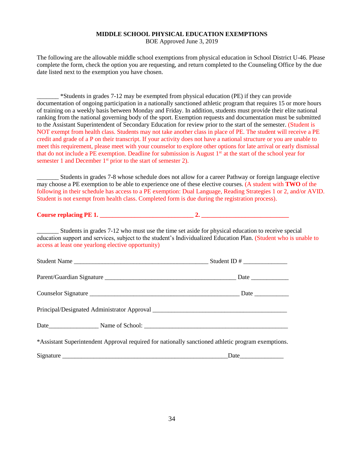#### **MIDDLE SCHOOL PHYSICAL EDUCATION EXEMPTIONS**

BOE Approved June 3, 2019

The following are the allowable middle school exemptions from physical education in School District U-46. Please complete the form, check the option you are requesting, and return completed to the Counseling Office by the due date listed next to the exemption you have chosen.

\_\_\_\_\_\_\_ \*Students in grades 7-12 may be exempted from physical education (PE) if they can provide documentation of ongoing participation in a nationally sanctioned athletic program that requires 15 or more hours of training on a weekly basis between Monday and Friday. In addition, students must provide their elite national ranking from the national governing body of the sport. Exemption requests and documentation must be submitted to the Assistant Superintendent of Secondary Education for review prior to the start of the semester. (Student is NOT exempt from health class. Students may not take another class in place of PE. The student will receive a PE credit and grade of a P on their transcript. If your activity does not have a national structure or you are unable to meet this requirement, please meet with your counselor to explore other options for late arrival or early dismissal that do not include a PE exemption. Deadline for submission is August 1<sup>st</sup> at the start of the school year for semester 1 and December  $1<sup>st</sup>$  prior to the start of semester 2).

\_\_\_\_\_\_\_ Students in grades 7-8 whose schedule does not allow for a career Pathway or foreign language elective may choose a PE exemption to be able to experience one of these elective courses. (A student with **TWO** of the following in their schedule has access to a PE exemption: Dual Language, Reading Strategies 1 or 2, and/or AVID. Student is not exempt from health class. Completed form is due during the registration process).

**Course replacing PE 1. \_\_\_\_\_\_\_\_\_\_\_\_\_\_\_\_\_\_\_\_\_\_\_\_\_\_\_\_\_\_ 2. \_\_\_\_\_\_\_\_\_\_\_\_\_\_\_\_\_\_\_\_\_\_\_\_\_\_\_\_** 

\_\_\_\_\_\_\_ Students in grades 7-12 who must use the time set aside for physical education to receive special education support and services, subject to the student's Individualized Education Plan. (Student who is unable to access at least one yearlong elective opportunity)

| *Assistant Superintendent Approval required for nationally sanctioned athletic program exemptions. |               |
|----------------------------------------------------------------------------------------------------|---------------|
|                                                                                                    | $\text{Date}$ |